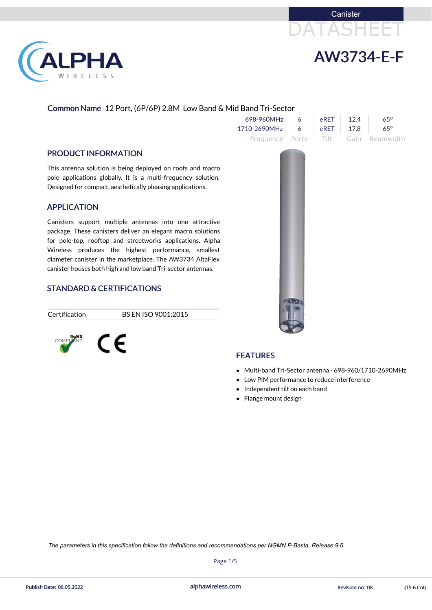



#### Common Name 12 Port, (6P/6P) 2.8M Low Band & Mid Band Tri-Sector

- Independent tilt on each band
- Flange mount design

|                                                                                                                                                                                                                                                                                                                                                                        | 698-960MHz   | 6     | eRET  | 12.4 | $65^{\circ}$ |
|------------------------------------------------------------------------------------------------------------------------------------------------------------------------------------------------------------------------------------------------------------------------------------------------------------------------------------------------------------------------|--------------|-------|-------|------|--------------|
|                                                                                                                                                                                                                                                                                                                                                                        | 1710-2690MHz | 6     | eRET  | 17.8 | $65^\circ$   |
|                                                                                                                                                                                                                                                                                                                                                                        | Frequency    | Ports | Tilt. | Gain | Beamwidth    |
| <b>PRODUCT INFORMATION</b>                                                                                                                                                                                                                                                                                                                                             |              |       |       |      |              |
| This antenna solution is being deployed on roofs and macro<br>pole applications globally. It is a multi-frequency solution.<br>Designed for compact, aesthetically pleasing applications.                                                                                                                                                                              |              |       |       |      |              |
| <b>APPLICATION</b>                                                                                                                                                                                                                                                                                                                                                     |              |       |       |      |              |
| Canisters support multiple antennas into one attractive<br>package. These canisters deliver an elegant macro solutions<br>for pole-top, rooftop and streetworks applications. Alpha<br>Wireless produces the highest performance, smallest<br>diameter canister in the marketplace. The AW3734 AltaFlex<br>canister houses both high and low band Tri-sector antennas. |              |       |       |      |              |
| CTANDADD C. CEDTIEICATIONIC                                                                                                                                                                                                                                                                                                                                            |              |       |       |      |              |

#### STANDARD & CERTIFICATIONS

**PHA** 

W I R E L E S S

Certification BS EN ISO 9001:2015

# ROHS<br>COMPLIANT CE

### **FEATURES**

- Multi-band Tri-Sector antenna 698-960/1710-2690MHz
- Low PIM performance to reduce interference

Page 1/5

alphawireless.com Publish Date: 06.05.2022 Revision no: 08 (TS-6 Col)

*The parameters in this specification follow the definitions and recommendations per NGMN P-Basta, Release 9.6.*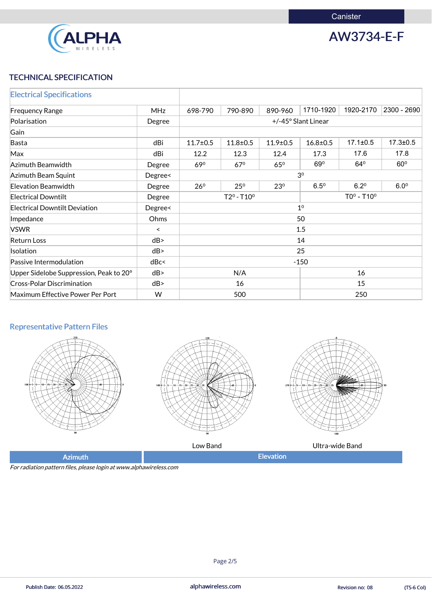

AW3734-E-F

# TECHNICAL SPECIFICATION

| <b>Electrical Specifications</b>        |            |                            |              |                 |                     |                |                |  |
|-----------------------------------------|------------|----------------------------|--------------|-----------------|---------------------|----------------|----------------|--|
| <b>Frequency Range</b>                  | <b>MHz</b> | 698-790                    | 790-890      | 890-960         | 1710-1920           | 1920-2170      | 2300 - 2690    |  |
| Polarisation                            | Degree     |                            |              |                 | +/-45° Slant Linear |                |                |  |
| Gain                                    |            |                            |              |                 |                     |                |                |  |
| Basta                                   | dBi        | $11.7 \pm 0.5$             | $11.8 + 0.5$ | $11.9 \pm 0.5$  | $16.8 \pm 0.5$      | $17.1 \pm 0.5$ | $17.3 \pm 0.5$ |  |
| Max                                     | dBi        | 12.2                       | 12.3         | 12.4            | 17.3                | 17.6           | 17.8           |  |
| Azimuth Beamwidth                       | Degree     | $69^\circ$                 | $67^\circ$   | $65^\circ$      | 69°                 | $64^{\circ}$   | $60^\circ$     |  |
| Azimuth Beam Squint                     | Degree<    | 3 <sup>0</sup>             |              |                 |                     |                |                |  |
| <b>Elevation Beamwidth</b>              | Degree     | $26^{\circ}$               | $25^{\circ}$ | 23 <sup>0</sup> | $6.5^{\circ}$       | $6.2^{\circ}$  | $6.0^\circ$    |  |
| <b>Electrical Downtilt</b>              | Degree     | $T2^{\circ} - T10^{\circ}$ |              |                 |                     | $TOo - T10o$   |                |  |
| <b>Electrical Downtilt Deviation</b>    | Degree<    | 1 <sup>0</sup>             |              |                 |                     |                |                |  |
| Impedance                               | Ohms       | 50                         |              |                 |                     |                |                |  |
| <b>VSWR</b>                             | $\,<\,$    | 1.5                        |              |                 |                     |                |                |  |
| <b>Return Loss</b>                      | dB         | 14                         |              |                 |                     |                |                |  |
| Isolation                               | dB         | 25                         |              |                 |                     |                |                |  |
| Passive Intermodulation                 | dBc<       | $-150$                     |              |                 |                     |                |                |  |
| Upper Sidelobe Suppression, Peak to 20° | dB         | 16<br>N/A                  |              |                 |                     |                |                |  |
| <b>Cross-Polar Discrimination</b>       | dB         | 15<br>16                   |              |                 |                     |                |                |  |
| Maximum Effective Power Per Port        | W          | 500<br>250                 |              |                 |                     |                |                |  |

### Representative Pattern Files







Low Band Ultra-wide Band

Azimuth **Elevation** 

For radiation pattern files, please login at www.alphawireless.com

Page 2/5

alphawireless.com Publish Date: 06.05.2022 Revision no: 08 (TS-6 Col)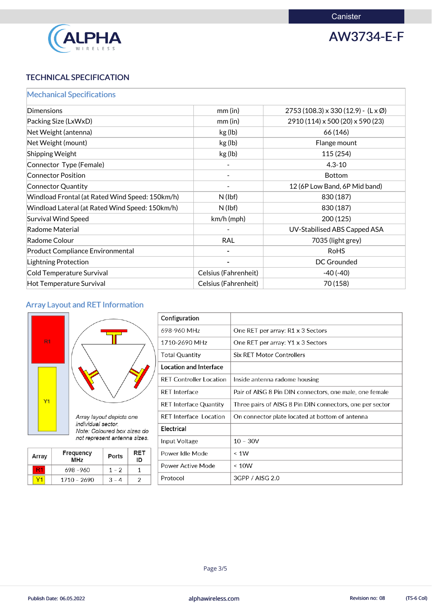

AW3734-E-F

# TECHNICAL SPECIFICATION

|  |  |  | <b>Mechanical Specifications</b> |  |  |
|--|--|--|----------------------------------|--|--|
|  |  |  |                                  |  |  |

| mm(in)               | $2753(108.3) \times 330(12.9) - (L \times \emptyset)$ |
|----------------------|-------------------------------------------------------|
| mm(in)               | 2910 (114) x 500 (20) x 590 (23)                      |
| kg (lb)              | 66 (146)                                              |
| kg (lb)              | Flange mount                                          |
| kg (lb)              | 115(254)                                              |
|                      | $4.3 - 10$                                            |
|                      | <b>Bottom</b>                                         |
|                      | 12 (6P Low Band, 6P Mid band)                         |
| $N$ (lbf)            | 830 (187)                                             |
| $N$ (lbf)            | 830 (187)                                             |
| $km/h$ (mph)         | 200 (125)                                             |
|                      | UV-Stabilised ABS Capped ASA                          |
| <b>RAL</b>           | 7035 (light grey)                                     |
|                      | <b>RoHS</b>                                           |
|                      | <b>DC Grounded</b>                                    |
| Celsius (Fahrenheit) | $-40(-40)$                                            |
| Celsius (Fahrenheit) | 70 (158)                                              |
|                      |                                                       |

# Array Layout and RET Information



| Configuration                  |                                                          |
|--------------------------------|----------------------------------------------------------|
| 698-960 MHz                    | One RET per array: R1 x 3 Sectors                        |
| 1710-2690 MHz                  | One RET per array: Y1 x 3 Sectors                        |
| <b>Total Quantity</b>          | <b>Six RET Motor Controllers</b>                         |
| <b>Location and Interface</b>  |                                                          |
| <b>RET Controller Location</b> | Inside antenna radome housing                            |
| <b>RET Interface</b>           | Pair of AISG 8 Pin DIN connectors, one male, one female  |
| <b>RET Interface Quantity</b>  | Three pairs of AISG 8 Pin DIN connectors, one per sector |
| <b>RET Interface Location</b>  | On connector plate located at bottom of antenna          |
| <b>Electrical</b>              |                                                          |
| Input Voltage                  | $10 - 30V$                                               |
| Power Idle Mode                | $\leq 1W$                                                |

|  |             | . . |
|--|-------------|-----|
|  | 698 - 960   |     |
|  | 1710 - 2690 |     |

| Power Active Mode | ~< 10W          |  |
|-------------------|-----------------|--|
| Protocol          | 3GPP / AISG 2.0 |  |



Page 3/5

Publish Date: 06.05.2022 **alphawireless.com** alphawireless.com Revision no: 08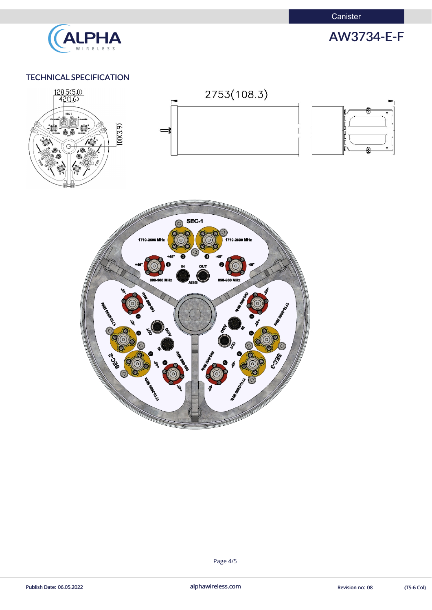

# AW3734-E-F

#### TECHNICAL SPECIFICATION



#### Page 4/5

alphawireless.com Publish Date: 06.05.2022 Revision no: 08 (TS-6 Col)